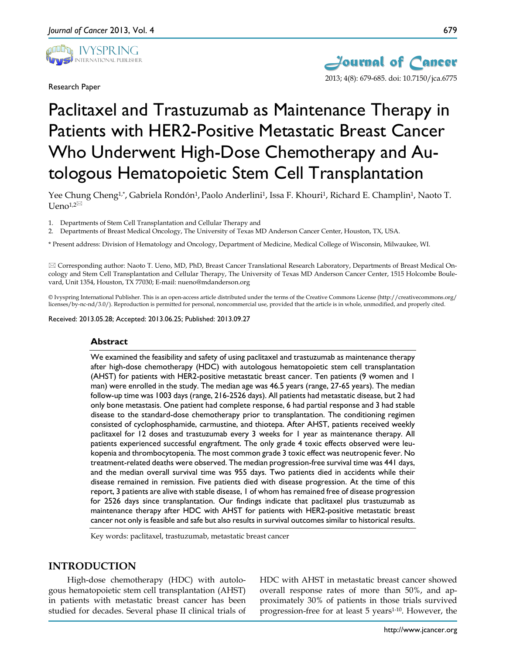

Research Paper



# Paclitaxel and Trastuzumab as Maintenance Therapy in Patients with HER2-Positive Metastatic Breast Cancer Who Underwent High-Dose Chemotherapy and Autologous Hematopoietic Stem Cell Transplantation

Yee Chung Cheng<sup>1,\*</sup>, Gabriela Rondón<sup>1</sup>, Paolo Anderlini<sup>1</sup>, Issa F. Khouri<sup>1</sup>, Richard E. Champlin<sup>1</sup>, Naoto T.  $U$ eno<sup>1,2 $\boxtimes$ </sup>

1. Departments of Stem Cell Transplantation and Cellular Therapy and

2. Departments of Breast Medical Oncology, The University of Texas MD Anderson Cancer Center, Houston, TX, USA.

\* Present address: Division of Hematology and Oncology, Department of Medicine, Medical College of Wisconsin, Milwaukee, WI.

 Corresponding author: Naoto T. Ueno, MD, PhD, Breast Cancer Translational Research Laboratory, Departments of Breast Medical Oncology and Stem Cell Transplantation and Cellular Therapy, The University of Texas MD Anderson Cancer Center, 1515 Holcombe Boulevard, Unit 1354, Houston, TX 77030; E-mail: nueno@mdanderson.org

© Ivyspring International Publisher. This is an open-access article distributed under the terms of the Creative Commons License (http://creativecommons.org/ licenses/by-nc-nd/3.0/). Reproduction is permitted for personal, noncommercial use, provided that the article is in whole, unmodified, and properly cited.

Received: 2013.05.28; Accepted: 2013.06.25; Published: 2013.09.27

#### **Abstract**

We examined the feasibility and safety of using paclitaxel and trastuzumab as maintenance therapy after high-dose chemotherapy (HDC) with autologous hematopoietic stem cell transplantation (AHST) for patients with HER2-positive metastatic breast cancer. Ten patients (9 women and 1 man) were enrolled in the study. The median age was 46.5 years (range, 27-65 years). The median follow-up time was 1003 days (range, 216-2526 days). All patients had metastatic disease, but 2 had only bone metastasis. One patient had complete response, 6 had partial response and 3 had stable disease to the standard-dose chemotherapy prior to transplantation. The conditioning regimen consisted of cyclophosphamide, carmustine, and thiotepa. After AHST, patients received weekly paclitaxel for 12 doses and trastuzumab every 3 weeks for 1 year as maintenance therapy. All patients experienced successful engraftment. The only grade 4 toxic effects observed were leukopenia and thrombocytopenia. The most common grade 3 toxic effect was neutropenic fever. No treatment-related deaths were observed. The median progression-free survival time was 441 days, and the median overall survival time was 955 days. Two patients died in accidents while their disease remained in remission. Five patients died with disease progression. At the time of this report, 3 patients are alive with stable disease, 1 of whom has remained free of disease progression for 2526 days since transplantation. Our findings indicate that paclitaxel plus trastuzumab as maintenance therapy after HDC with AHST for patients with HER2-positive metastatic breast cancer not only is feasible and safe but also results in survival outcomes similar to historical results.

Key words: paclitaxel, trastuzumab, metastatic breast cancer

#### **INTRODUCTION**

High-dose chemotherapy (HDC) with autologous hematopoietic stem cell transplantation (AHST) in patients with metastatic breast cancer has been studied for decades. Several phase II clinical trials of HDC with AHST in metastatic breast cancer showed overall response rates of more than 50%, and approximately 30% of patients in those trials survived progression-free for at least 5 years<sup>1-10</sup>. However, the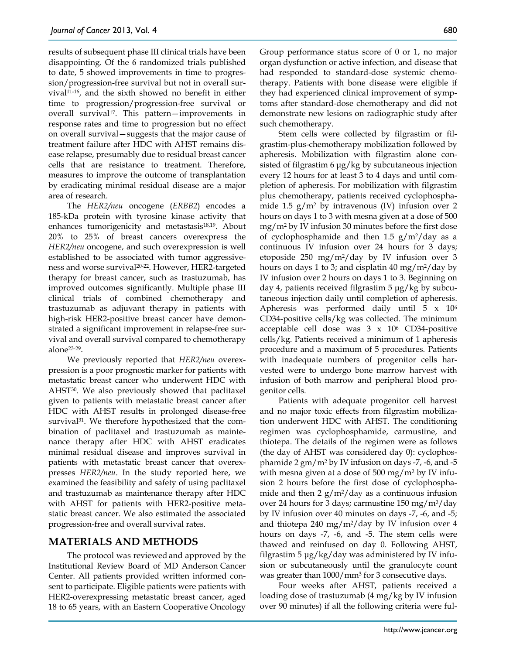results of subsequent phase III clinical trials have been disappointing. Of the 6 randomized trials published to date, 5 showed improvements in time to progression/progression-free survival but not in overall survival11-16, and the sixth showed no benefit in either time to progression/progression-free survival or overall survival<sup>17</sup>. This pattern—improvements in response rates and time to progression but no effect on overall survival—suggests that the major cause of treatment failure after HDC with AHST remains disease relapse, presumably due to residual breast cancer cells that are resistance to treatment. Therefore, measures to improve the outcome of transplantation by eradicating minimal residual disease are a major area of research.

The *HER2/neu* oncogene (*ERBB2*) encodes a 185-kDa protein with tyrosine kinase activity that enhances tumorigenicity and metastasis<sup>18,19</sup>. About 20% to 25% of breast cancers overexpress the *HER2/neu* oncogene, and such overexpression is well established to be associated with tumor aggressiveness and worse survival20-22. However, HER2-targeted therapy for breast cancer, such as trastuzumab, has improved outcomes significantly. Multiple phase III clinical trials of combined chemotherapy and trastuzumab as adjuvant therapy in patients with high-risk HER2-positive breast cancer have demonstrated a significant improvement in relapse-free survival and overall survival compared to chemotherapy alone23-29.

We previously reported that *HER2/neu* overexpression is a poor prognostic marker for patients with metastatic breast cancer who underwent HDC with AHST30. We also previously showed that paclitaxel given to patients with metastatic breast cancer after HDC with AHST results in prolonged disease-free survival<sup>31</sup>. We therefore hypothesized that the combination of paclitaxel and trastuzumab as maintenance therapy after HDC with AHST eradicates minimal residual disease and improves survival in patients with metastatic breast cancer that overexpresses *HER2/neu*. In the study reported here, we examined the feasibility and safety of using paclitaxel and trastuzumab as maintenance therapy after HDC with AHST for patients with HER2-positive metastatic breast cancer. We also estimated the associated progression-free and overall survival rates.

# **MATERIALS AND METHODS**

The protocol was reviewed and approved by the Institutional Review Board of MD Anderson Cancer Center. All patients provided written informed consent to participate. Eligible patients were patients with HER2-overexpressing metastatic breast cancer, aged 18 to 65 years, with an Eastern Cooperative Oncology Group performance status score of 0 or 1, no major organ dysfunction or active infection, and disease that had responded to standard-dose systemic chemotherapy. Patients with bone disease were eligible if they had experienced clinical improvement of symptoms after standard-dose chemotherapy and did not demonstrate new lesions on radiographic study after such chemotherapy.

Stem cells were collected by filgrastim or filgrastim-plus-chemotherapy mobilization followed by apheresis. Mobilization with filgrastim alone consisted of filgrastim 6 μg/kg by subcutaneous injection every 12 hours for at least 3 to 4 days and until completion of apheresis. For mobilization with filgrastim plus chemotherapy, patients received cyclophosphamide 1.5  $g/m^2$  by intravenous (IV) infusion over 2 hours on days 1 to 3 with mesna given at a dose of 500 mg/m2 by IV infusion 30 minutes before the first dose of cyclophosphamide and then 1.5  $g/m^2$ /day as a continuous IV infusion over 24 hours for 3 days; etoposide 250 mg/m2/day by IV infusion over 3 hours on days 1 to 3; and cisplatin 40 mg/m<sup>2</sup>/day by IV infusion over 2 hours on days 1 to 3. Beginning on day 4, patients received filgrastim 5 μg/kg by subcutaneous injection daily until completion of apheresis. Apheresis was performed daily until 5 x 106 CD34-positive cells/kg was collected. The minimum acceptable cell dose was  $3 \times 10^6$  CD34-positive cells/kg. Patients received a minimum of 1 apheresis procedure and a maximum of 5 procedures. Patients with inadequate numbers of progenitor cells harvested were to undergo bone marrow harvest with infusion of both marrow and peripheral blood progenitor cells.

Patients with adequate progenitor cell harvest and no major toxic effects from filgrastim mobilization underwent HDC with AHST. The conditioning regimen was cyclophosphamide, carmustine, and thiotepa. The details of the regimen were as follows (the day of AHST was considered day 0): cyclophosphamide  $2 \text{ gm/m}^2$  by IV infusion on days -7, -6, and -5 with mesna given at a dose of 500 mg/m<sup>2</sup> by IV infusion 2 hours before the first dose of cyclophosphamide and then  $2 g/m^2/day$  as a continuous infusion over 24 hours for 3 days; carmustine 150 mg/m2/day by IV infusion over 40 minutes on days -7, -6, and -5; and thiotepa 240 mg/m<sup>2</sup>/day by IV infusion over 4 hours on days -7, -6, and -5. The stem cells were thawed and reinfused on day 0. Following AHST, filgrastim 5 μg/kg/day was administered by IV infusion or subcutaneously until the granulocyte count was greater than 1000/mm3 for 3 consecutive days.

Four weeks after AHST, patients received a loading dose of trastuzumab (4 mg/kg by IV infusion over 90 minutes) if all the following criteria were ful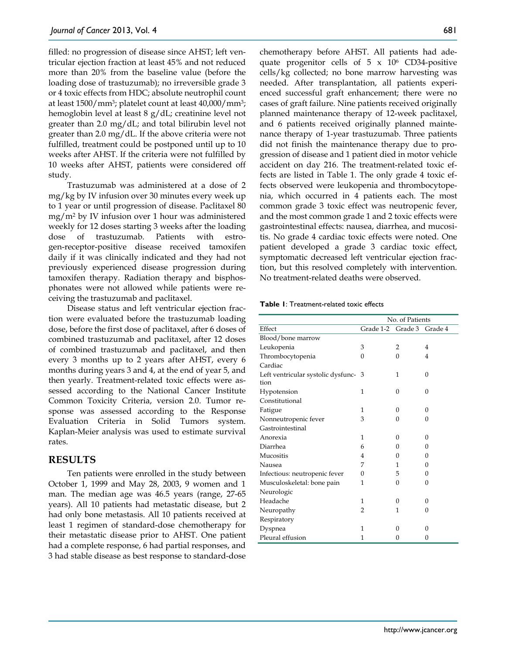filled: no progression of disease since AHST; left ventricular ejection fraction at least 45% and not reduced more than 20% from the baseline value (before the loading dose of trastuzumab); no irreversible grade 3 or 4 toxic effects from HDC; absolute neutrophil count at least 1500/mm3; platelet count at least 40,000/mm3; hemoglobin level at least 8 g/dL; creatinine level not greater than 2.0 mg/dL; and total bilirubin level not greater than 2.0 mg/dL. If the above criteria were not fulfilled, treatment could be postponed until up to 10 weeks after AHST. If the criteria were not fulfilled by 10 weeks after AHST, patients were considered off study.

Trastuzumab was administered at a dose of 2 mg/kg by IV infusion over 30 minutes every week up to 1 year or until progression of disease. Paclitaxel 80 mg/m2 by IV infusion over 1 hour was administered weekly for 12 doses starting 3 weeks after the loading dose of trastuzumab. Patients with estrogen-receptor-positive disease received tamoxifen daily if it was clinically indicated and they had not previously experienced disease progression during tamoxifen therapy. Radiation therapy and bisphosphonates were not allowed while patients were receiving the trastuzumab and paclitaxel.

Disease status and left ventricular ejection fraction were evaluated before the trastuzumab loading dose, before the first dose of paclitaxel, after 6 doses of combined trastuzumab and paclitaxel, after 12 doses of combined trastuzumab and paclitaxel, and then every 3 months up to 2 years after AHST, every 6 months during years 3 and 4, at the end of year 5, and then yearly. Treatment-related toxic effects were assessed according to the National Cancer Institute Common Toxicity Criteria, version 2.0. Tumor response was assessed according to the Response Evaluation Criteria in Solid Tumors system. Kaplan-Meier analysis was used to estimate survival rates.

# **RESULTS**

Ten patients were enrolled in the study between October 1, 1999 and May 28, 2003, 9 women and 1 man. The median age was 46.5 years (range, 27-65 years). All 10 patients had metastatic disease, but 2 had only bone metastasis. All 10 patients received at least 1 regimen of standard-dose chemotherapy for their metastatic disease prior to AHST. One patient had a complete response, 6 had partial responses, and 3 had stable disease as best response to standard-dose

chemotherapy before AHST. All patients had adequate progenitor cells of  $5 \times 10^6$  CD34-positive cells/kg collected; no bone marrow harvesting was needed. After transplantation, all patients experienced successful graft enhancement; there were no cases of graft failure. Nine patients received originally planned maintenance therapy of 12-week paclitaxel, and 6 patients received originally planned maintenance therapy of 1-year trastuzumab. Three patients did not finish the maintenance therapy due to progression of disease and 1 patient died in motor vehicle accident on day 216. The treatment-related toxic effects are listed in Table 1. The only grade 4 toxic effects observed were leukopenia and thrombocytopenia, which occurred in 4 patients each. The most common grade 3 toxic effect was neutropenic fever, and the most common grade 1 and 2 toxic effects were gastrointestinal effects: nausea, diarrhea, and mucositis. No grade 4 cardiac toxic effects were noted. One patient developed a grade 3 cardiac toxic effect, symptomatic decreased left ventricular ejection fraction, but this resolved completely with intervention. No treatment-related deaths were observed.

|                                    | No. of Patients |          |          |
|------------------------------------|-----------------|----------|----------|
| Effect                             | Grade 1-2       | Grade 3  | Grade 4  |
| Blood/bone marrow                  |                 |          |          |
| Leukopenia                         | 3               | 2        | 4        |
| Thrombocytopenia                   | 0               | $\Omega$ | 4        |
| Cardiac                            |                 |          |          |
| Left ventricular systolic dysfunc- | 3               | 1        | $\theta$ |
| tion                               |                 |          |          |
| Hypotension                        | 1               | $\theta$ | $\Omega$ |
| Constitutional                     |                 |          |          |
| Fatigue                            | 1               | $\theta$ | $\Omega$ |
| Nonneutropenic fever               | 3               | 0        | 0        |
| Gastrointestinal                   |                 |          |          |
| Anorexia                           | 1               | $\Omega$ | $\Omega$ |
| Diarrhea                           | 6               | $\Omega$ | 0        |
| Mucositis                          | 4               | 0        | $\theta$ |
| Nausea                             | 7               | 1        | $\theta$ |
| Infectious: neutropenic fever      | $\Omega$        | 5        | 0        |
| Musculoskeletal: bone pain         | 1               | $\Omega$ | 0        |
| Neurologic                         |                 |          |          |
| Headache                           | 1               | $\Omega$ | $\Omega$ |
| Neuropathy                         | 2               | 1        | 0        |
| Respiratory                        |                 |          |          |
| Dyspnea                            | 1               | 0        | $\Omega$ |
| Pleural effusion                   | 1               | 0        | 0        |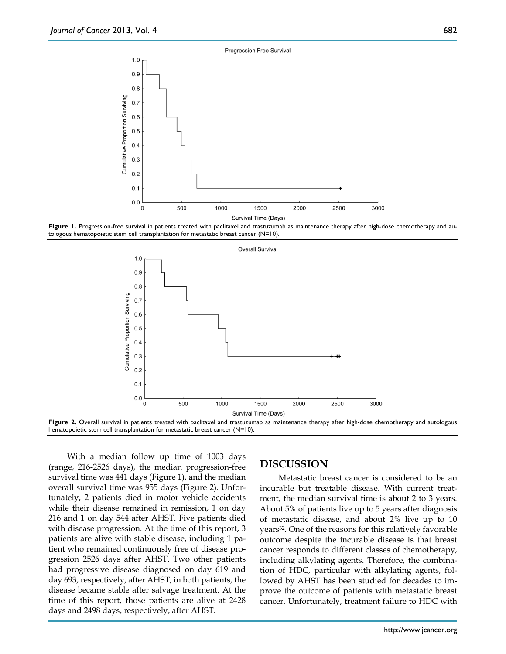





Figure 2. Overall survival in patients treated with paclitaxel and trastuzumab as maintenance therapy after high-dose chemotherapy and autologous hematopoietic stem cell transplantation for metastatic breast cancer (N=10).

With a median follow up time of 1003 days (range, 216-2526 days), the median progression-free survival time was 441 days (Figure 1), and the median overall survival time was 955 days (Figure 2). Unfortunately, 2 patients died in motor vehicle accidents while their disease remained in remission, 1 on day 216 and 1 on day 544 after AHST. Five patients died with disease progression. At the time of this report, 3 patients are alive with stable disease, including 1 patient who remained continuously free of disease progression 2526 days after AHST. Two other patients had progressive disease diagnosed on day 619 and day 693, respectively, after AHST; in both patients, the disease became stable after salvage treatment. At the time of this report, those patients are alive at 2428 days and 2498 days, respectively, after AHST.

# **DISCUSSION**

Metastatic breast cancer is considered to be an incurable but treatable disease. With current treatment, the median survival time is about 2 to 3 years. About 5% of patients live up to 5 years after diagnosis of metastatic disease, and about 2% live up to 10 years32. One of the reasons for this relatively favorable outcome despite the incurable disease is that breast cancer responds to different classes of chemotherapy, including alkylating agents. Therefore, the combination of HDC, particular with alkylating agents, followed by AHST has been studied for decades to improve the outcome of patients with metastatic breast cancer. Unfortunately, treatment failure to HDC with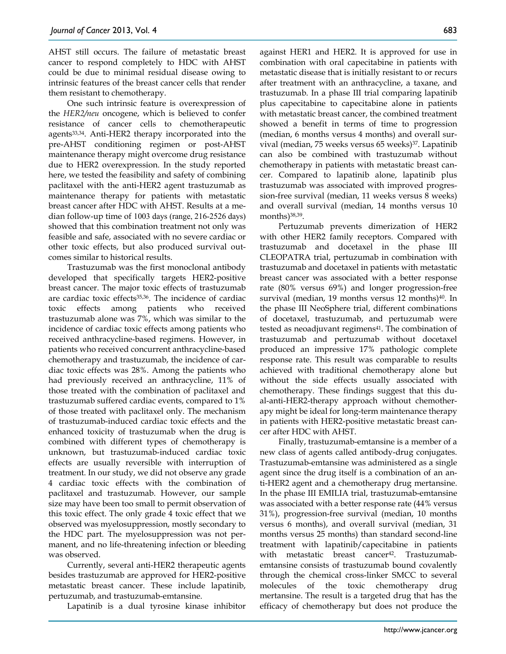AHST still occurs. The failure of metastatic breast cancer to respond completely to HDC with AHST could be due to minimal residual disease owing to intrinsic features of the breast cancer cells that render them resistant to chemotherapy.

One such intrinsic feature is overexpression of the *HER2/neu* oncogene, which is believed to confer resistance of cancer cells to chemotherapeutic agents33,34. Anti-HER2 therapy incorporated into the pre-AHST conditioning regimen or post-AHST maintenance therapy might overcome drug resistance due to HER2 overexpression. In the study reported here, we tested the feasibility and safety of combining paclitaxel with the anti-HER2 agent trastuzumab as maintenance therapy for patients with metastatic breast cancer after HDC with AHST. Results at a median follow-up time of 1003 days (range, 216-2526 days) showed that this combination treatment not only was feasible and safe, associated with no severe cardiac or other toxic effects, but also produced survival outcomes similar to historical results.

Trastuzumab was the first monoclonal antibody developed that specifically targets HER2-positive breast cancer. The major toxic effects of trastuzumab are cardiac toxic effects<sup>35,36</sup>. The incidence of cardiac toxic effects among patients who received trastuzumab alone was 7%, which was similar to the incidence of cardiac toxic effects among patients who received anthracycline-based regimens. However, in patients who received concurrent anthracycline-based chemotherapy and trastuzumab, the incidence of cardiac toxic effects was 28%. Among the patients who had previously received an anthracycline, 11% of those treated with the combination of paclitaxel and trastuzumab suffered cardiac events, compared to 1% of those treated with paclitaxel only. The mechanism of trastuzumab-induced cardiac toxic effects and the enhanced toxicity of trastuzumab when the drug is combined with different types of chemotherapy is unknown, but trastuzumab-induced cardiac toxic effects are usually reversible with interruption of treatment. In our study, we did not observe any grade 4 cardiac toxic effects with the combination of paclitaxel and trastuzumab. However, our sample size may have been too small to permit observation of this toxic effect. The only grade 4 toxic effect that we observed was myelosuppression, mostly secondary to the HDC part. The myelosuppression was not permanent, and no life-threatening infection or bleeding was observed.

Currently, several anti-HER2 therapeutic agents besides trastuzumab are approved for HER2-positive metastatic breast cancer. These include lapatinib, pertuzumab, and trastuzumab-emtansine.

Lapatinib is a dual tyrosine kinase inhibitor

against HER1 and HER2. It is approved for use in combination with oral capecitabine in patients with metastatic disease that is initially resistant to or recurs after treatment with an anthracycline, a taxane, and trastuzumab. In a phase III trial comparing lapatinib plus capecitabine to capecitabine alone in patients with metastatic breast cancer, the combined treatment showed a benefit in terms of time to progression (median, 6 months versus 4 months) and overall survival (median, 75 weeks versus 65 weeks)<sup>37</sup>. Lapatinib can also be combined with trastuzumab without chemotherapy in patients with metastatic breast cancer. Compared to lapatinib alone, lapatinib plus trastuzumab was associated with improved progression-free survival (median, 11 weeks versus 8 weeks) and overall survival (median, 14 months versus 10 months)<sup>38,39</sup>.

Pertuzumab prevents dimerization of HER2 with other HER2 family receptors. Compared with trastuzumab and docetaxel in the phase III CLEOPATRA trial, pertuzumab in combination with trastuzumab and docetaxel in patients with metastatic breast cancer was associated with a better response rate (80% versus 69%) and longer progression-free survival (median, 19 months versus 12 months) $40$ . In the phase III NeoSphere trial, different combinations of docetaxel, trastuzumab, and pertuzumab were tested as neoadjuvant regimens<sup>41</sup>. The combination of trastuzumab and pertuzumab without docetaxel produced an impressive 17% pathologic complete response rate. This result was comparable to results achieved with traditional chemotherapy alone but without the side effects usually associated with chemotherapy. These findings suggest that this dual-anti-HER2-therapy approach without chemotherapy might be ideal for long-term maintenance therapy in patients with HER2-positive metastatic breast cancer after HDC with AHST.

Finally, trastuzumab-emtansine is a member of a new class of agents called antibody-drug conjugates. Trastuzumab-emtansine was administered as a single agent since the drug itself is a combination of an anti-HER2 agent and a chemotherapy drug mertansine. In the phase III EMILIA trial, trastuzumab-emtansine was associated with a better response rate (44% versus 31%), progression-free survival (median, 10 months versus 6 months), and overall survival (median, 31 months versus 25 months) than standard second-line treatment with lapatinib/capecitabine in patients with metastatic breast cancer<sup>42</sup>. Trastuzumabemtansine consists of trastuzumab bound covalently through the chemical cross-linker SMCC to several molecules of the toxic chemotherapy drug mertansine. The result is a targeted drug that has the efficacy of chemotherapy but does not produce the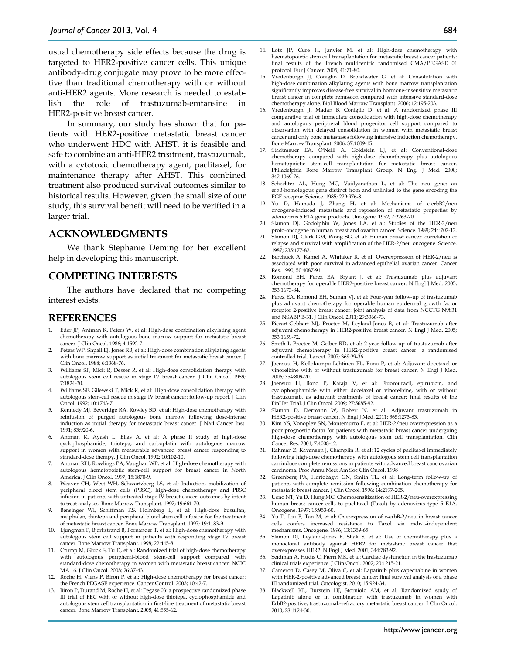usual chemotherapy side effects because the drug is targeted to HER2-positive cancer cells. This unique antibody-drug conjugate may prove to be more effective than traditional chemotherapy with or without anti-HER2 agents. More research is needed to establish the role of trastuzumab-emtansine in HER2-positive breast cancer.

In summary, our study has shown that for patients with HER2-positive metastatic breast cancer who underwent HDC with AHST, it is feasible and safe to combine an anti-HER2 treatment, trastuzumab, with a cytotoxic chemotherapy agent, paclitaxel, for maintenance therapy after AHST. This combined treatment also produced survival outcomes similar to historical results. However, given the small size of our study, this survival benefit will need to be verified in a larger trial.

#### **ACKNOWLEDGMENTS**

We thank Stephanie Deming for her excellent help in developing this manuscript.

# **COMPETING INTERESTS**

The authors have declared that no competing interest exists.

#### **REFERENCES**

- Eder JP, Antman K, Peters W, et al: High-dose combination alkylating agent chemotherapy with autologous bone marrow support for metastatic breast cancer. J Clin Oncol. 1986; 4:1592-7.
- 2. Peters WP, Shpall EJ, Jones RB, et al: High-dose combination alkylating agents with bone marrow support as initial treatment for metastatic breast cancer. J Clin Oncol. 1988; 6:1368-76.
- 3. Williams SF, Mick R, Desser R, et al: High-dose consolidation therapy with autologous stem cell rescue in stage IV breast cancer. J Clin Oncol. 1989; 7:1824-30.
- 4. Williams SF, Gilewski T, Mick R, et al: High-dose consolidation therapy with autologous stem-cell rescue in stage IV breast cancer: follow-up report. J Clin Oncol. 1992; 10:1743-7.
- 5. Kennedy MJ, Beveridge RA, Rowley SD, et al: High-dose chemotherapy with reinfusion of purged autologous bone marrow following dose-intense induction as initial therapy for metastatic breast cancer. J Natl Cancer Inst. 1991; 83:920-6.
- 6. Antman K, Ayash L, Elias A, et al: A phase II study of high-dose cyclophosphamide, thiotepa, and carboplatin with autologous marrow support in women with measurable advanced breast cancer responding to standard-dose therapy. J Clin Oncol. 1992; 10:102-10.
- 7. Antman KH, Rowlings PA, Vaughan WP, et al: High-dose chemotherapy with autologous hematopoietic stem-cell support for breast cancer in North America. J Clin Oncol. 1997; 15:1870-9.
- 8. Weaver CH, West WH, Schwartzberg LS, et al: Induction, mobilization of peripheral blood stem cells (PBSC), high-dose chemotherapy and PBSC infusion in patients with untreated stage IV breast cancer: outcomes by intent to treat analyses. Bone Marrow Transplant. 1997; 19:661-70.
- 9. Bensinger WI, Schiffman KS, Holmberg L, et al: High-dose busulfan, melphalan, thiotepa and peripheral blood stem cell infusion for the treatment of metastatic breast cancer. Bone Marrow Transplant. 1997; 19:1183-9.
- 10. Ljungman P, Bjorkstrand B, Fornander T, et al: High-dose chemotherapy with autologous stem cell support in patients with responding stage IV breast cancer. Bone Marrow Transplant. 1998; 22:445-8.
- 11. Crump M, Gluck S, Tu D, et al: Randomized trial of high-dose chemotherapy with autologous peripheral-blood stem-cell support compared with standard-dose chemotherapy in women with metastatic breast cancer: NCIC MA.16. J Clin Oncol. 2008; 26:37-43.
- 12. Roche H, Viens P, Biron P, et al: High-dose chemotherapy for breast cancer: the French PEGASE experience. Cancer Control. 2003; 10:42-7.
- 13. Biron P, Durand M, Roche H, et al: Pegase 03: a prospective randomized phase III trial of FEC with or without high-dose thiotepa, cyclophosphamide and autologous stem cell transplantation in first-line treatment of metastatic breast cancer. Bone Marrow Transplant. 2008; 41:555-62.
- 14. Lotz JP, Cure H, Janvier M, et al: High-dose chemotherapy with haematopoietic stem cell transplantation for metastatic breast cancer patients: final results of the French multicentric randomised CMA/PEGASE 04 protocol. Eur J Cancer. 2005; 41:71-80.
- 15. Vredenburgh JJ, Coniglio D, Broadwater G, et al: Consolidation with high-dose combination alkylating agents with bone marrow transplantation significantly improves disease-free survival in hormone-insensitive metastatic breast cancer in complete remission compared with intensive standard-dose chemotherapy alone. Biol Blood Marrow Transplant. 2006; 12:195-203.
- 16. Vredenburgh JJ, Madan B, Coniglio D, et al: A randomized phase III comparative trial of immediate consolidation with high-dose chemotherapy and autologous peripheral blood progenitor cell support compared to observation with delayed consolidation in women with metastatic breast cancer and only bone metastases following intensive induction chemotherapy. Bone Marrow Transplant. 2006; 37:1009-15.
- 17. Stadtmauer EA, O'Neill A, Goldstein LJ, et al: Conventional-dose chemotherapy compared with high-dose chemotherapy plus autologous hematopoietic stem-cell transplantation for metastatic breast cancer. Philadelphia Bone Marrow Transplant Group. N Engl J Med. 2000; 342:1069-76.
- 18. Schechter AL, Hung MC, Vaidyanathan L, et al: The neu gene: an erbB-homologous gene distinct from and unlinked to the gene encoding the EGF receptor. Science. 1985; 229:976-8.
- 19. Yu D, Hamada J, Zhang H, et al: Mechanisms of c-erbB2/neu oncogene-induced metastasis and repression of metastatic properties by adenovirus 5 E1A gene products. Oncogene. 1992; 7:2263-70.
- 20. Slamon DJ, Godolphin W, Jones LA, et al: Studies of the HER-2/neu proto-oncogene in human breast and ovarian cancer. Science. 1989; 244:707-12.
- 21. Slamon DJ, Clark GM, Wong SG, et al: Human breast cancer: correlation of relapse and survival with amplification of the HER-2/neu oncogene. Science. 1987; 235:177-82.
- 22. Berchuck A, Kamel A, Whitaker R, et al: Overexpression of HER-2/neu is associated with poor survival in advanced epithelial ovarian cancer. Cancer Res. 1990; 50:4087-91.
- 23. Romond EH, Perez EA, Bryant J, et al: Trastuzumab plus adjuvant chemotherapy for operable HER2-positive breast cancer. N Engl J Med. 2005; 353:1673-84.
- 24. Perez EA, Romond EH, Suman VJ, et al: Four-year follow-up of trastuzumab plus adjuvant chemotherapy for operable human epidermal growth factor receptor 2-positive breast cancer: joint analysis of data from NCCTG N9831 and NSABP B-31. J Clin Oncol. 2011; 29:3366-73.
- 25. Piccart-Gebhart MJ, Procter M, Leyland-Jones B, et al: Trastuzumab after adjuvant chemotherapy in HER2-positive breast cancer. N Engl J Med. 2005; 353:1659-72.
- 26. Smith I, Procter M, Gelber RD, et al: 2-year follow-up of trastuzumab after adjuvant chemotherapy in HER2-positive breast cancer: a randomised controlled trial. Lancet. 2007; 369:29-36.
- 27. Joensuu H, Kellokumpu-Lehtinen PL, Bono P, et al: Adjuvant docetaxel or vinorelbine with or without trastuzumab for breast cancer. N Engl J Med. 2006; 354:809-20.
- 28. Joensuu H, Bono P, Kataja V, et al: Fluorouracil, epirubicin, and cyclophosphamide with either docetaxel or vinorelbine, with or without trastuzumab, as adjuvant treatments of breast cancer: final results of the FinHer Trial. J Clin Oncol. 2009; 27:5685-92.
- 29. Slamon D, Eiermann W, Robert N, et al: Adjuvant trastuzumab in HER2-positive breast cancer. N Engl J Med. 2011; 365:1273-83.
- 30. Kim YS, Konoplev SN, Montemurro F, et al: HER-2/neu overexpression as a poor prognostic factor for patients with metastatic breast cancer undergoing high-dose chemotherapy with autologous stem cell transplantation. Clin Cancer Res. 2001; 7:4008-12.
- 31. Rahman Z, Kavanagh J, Champlin R, et al: 12 cycles of paclitaxel immediately following high-dose chemotherapy with autologous stem cell transplantation can induce complete remissions in patients with advanced breast canc ovarian carcinoma. Proc Annu Meet Am Soc Clin Oncol. 1998
- 32. Greenberg PA, Hortobagyi GN, Smith TL, et al: Long-term follow-up of patients with complete remission following combination chemotherapy for metastatic breast cancer. J Clin Oncol. 1996; 14:2197-205.
- 33. Ueno NT, Yu D, Hung MC: Chemosensitization of HER-2/neu-overexpressing human breast cancer cells to paclitaxel (Taxol) by adenovirus type 5 E1A. Oncogene. 1997; 15:953-60.
- 34. Yu D, Liu B, Tan M, et al: Overexpression of c-erbB-2/neu in breast cancer cells confers increased resistance to Taxol via mdr-1-independent mechanisms. Oncogene. 1996; 13:1359-65.
- 35. Slamon DJ, Leyland-Jones B, Shak S, et al: Use of chemotherapy plus a monoclonal antibody against HER2 for metastatic breast cancer that overexpresses HER2. N Engl J Med. 2001; 344:783-92.
- 36. Seidman A, Hudis C, Pierri MK, et al: Cardiac dysfunction in the trastuzumab clinical trials experience. J Clin Oncol. 2002; 20:1215-21.
- 37. Cameron D, Casey M, Oliva C, et al: Lapatinib plus capecitabine in women with HER-2-positive advanced breast cancer: final survival analysis of a phase III randomized trial. Oncologist. 2010; 15:924-34.
- 38. Blackwell KL, Burstein HJ, Storniolo AM, et al: Randomized study of Lapatinib alone or in combination with trastuzumab in women with ErbB2-positive, trastuzumab-refractory metastatic breast cancer. J Clin Oncol. 2010; 28:1124-30.